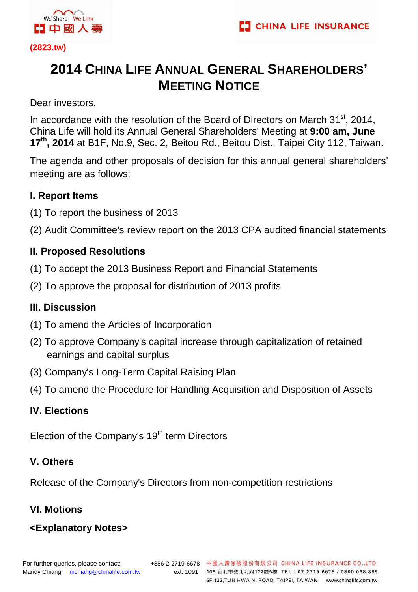

**(2823.tw)** 

# **2014 CHINA LIFE ANNUAL GENERAL SHAREHOLDERS' MEETING NOTICE**

Dear investors,

In accordance with the resolution of the Board of Directors on March  $31<sup>st</sup>$ , 2014, China Life will hold its Annual General Shareholders' Meeting at **9:00 am, June 17th, 2014** at B1F, No.9, Sec. 2, Beitou Rd., Beitou Dist., Taipei City 112, Taiwan.

The agenda and other proposals of decision for this annual general shareholders' meeting are as follows:

### **I. Report Items**

- (1) To report the business of 2013
- (2) Audit Committee's review report on the 2013 CPA audited financial statements

### **II. Proposed Resolutions**

- (1) To accept the 2013 Business Report and Financial Statements
- (2) To approve the proposal for distribution of 2013 profits

### **III. Discussion**

- (1) To amend the Articles of Incorporation
- (2) To approve Company's capital increase through capitalization of retained earnings and capital surplus
- (3) Company's Long-Term Capital Raising Plan
- (4) To amend the Procedure for Handling Acquisition and Disposition of Assets

### **IV. Elections**

Election of the Company's 19<sup>th</sup> term Directors

### **V. Others**

Release of the Company's Directors from non-competition restrictions

### **VI. Motions**

## **<Explanatory Notes>**